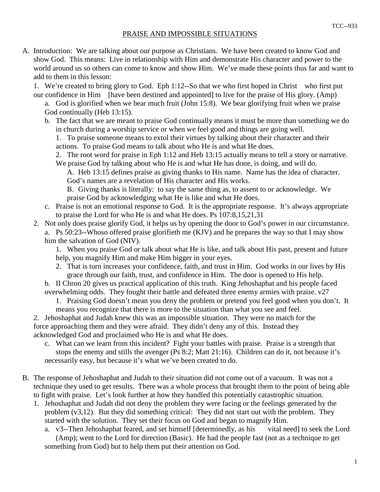## PRAISE AND IMPOSSIBLE SITUATIONS

A. Introduction: We are talking about our purpose as Christians. We have been created to know God and show God. This means: Live in relationship with Him and demonstrate His character and power to the world around us so others can come to know and show Him. We've made these points thus far and want to add to them in this lesson:

1. We're created to bring glory to God. Eph 1:12--So that we who first hoped in Christ—who first put our confidence in Him—[have been destined and appointed] to live for the praise of His glory. (Amp)

 a. God is glorified when we bear much fruit (John 15:8). We bear glorifying fruit when we praise God continually (Heb 13:15).

 b. The fact that we are meant to praise God continually means it must be more than something we do in church during a worship service or when we feel good and things are going well.

 1. To praise someone means to extol their virtues by talking about their character and their actions. To praise God means to talk about who He is and what He does.

 2. The root word for praise in Eph 1:12 and Heb 13:15 actually means to tell a story or narrative. We praise God by talking about who He is and what He has done, is doing, and will do.

 A. Heb 13:15 defines praise as giving thanks to His name. Name has the idea of character. God's names are a revelation of His character and His works.

 B. Giving thanks is literally: to say the same thing as, to assent to or acknowledge. We praise God by acknowledging what He is like and what He does.

- c. Praise is not an emotional response to God. It is the appropriate response. It's always appropriate to praise the Lord for who He is and what He does. Ps 107:8,15,21,31
- 2. Not only does praise glorify God, it helps us by opening the door to God's power in our circumstance. a. Ps 50:23--Whoso offered praise glorifieth me (KJV) and he prepares the way so that I may show him the salvation of God (NIV).

 1. When you praise God or talk about what He is like, and talk about His past, present and future help, you magnify Him and make Him bigger in your eyes.

 2. That is turn increases your confidence, faith, and trust in Him. God works in our lives by His grace through our faith, trust, and confidence in Him. The door is opened to His help.

 b. II Chron 20 gives us practical application of this truth. King Jehoshaphat and his people faced overwhelming odds. They fought their battle and defeated three enemy armies with praise. v27

 1. Praising God doesn't mean you deny the problem or pretend you feel good when you don't. It means you recognize that there is more to the situation than what you see and feel.

 2. Jehoshaphat and Judah knew this was an impossible situation. They were no match for the force approaching them and they were afraid. They didn't deny any of this. Instead they acknowledged God and proclaimed who He is and what He does.

- c. What can we learn from this incident? Fight your battles with praise. Praise is a strength that stops the enemy and stills the avenger (Ps 8:2; Matt 21:16). Children can do it, not because it's necessarily easy, but because it's what we've been created to do.
- B. The response of Jehoshaphat and Judah to their situation did not come out of a vacuum. It was not a technique they used to get results. There was a whole process that brought them to the point of being able to fight with praise. Let's look further at how they handled this potentially catastrophic situation.
	- 1. Jehoshaphat and Judah did not deny the problem they were facing or the feelings generated by the problem (v3,12). But they did something critical: They did not start out with the problem. They started with the solution. They set their focus on God and began to magnify Him.

 a. v3--Then Jehoshaphat feared, and set himself [determinedly, as his vital need] to seek the Lord (Amp); went to the Lord for direction (Basic). He had the people fast (not as a technique to get something from God) but to help them put their attention on God.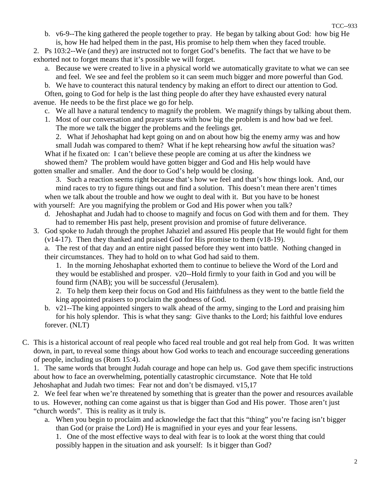b. v6-9--The king gathered the people together to pray. He began by talking about God: how big He is, how He had helped them in the past, His promise to help them when they faced trouble.

 2. Ps 103:2--We (and they) are instructed not to forget God's benefits. The fact that we have to be exhorted not to forget means that it's possible we will forget.

- a. Because we were created to live in a physical world we automatically gravitate to what we can see and feel. We see and feel the problem so it can seem much bigger and more powerful than God.
- b. We have to counteract this natural tendency by making an effort to direct our attention to God.

 Often, going to God for help is the last thing people do after they have exhausted every natural avenue. He needs to be the first place we go for help.

- c. We all have a natural tendency to magnify the problem. We magnify things by talking about them.
- 1. Most of our conversation and prayer starts with how big the problem is and how bad we feel. The more we talk the bigger the problems and the feelings get.

2. What if Jehoshaphat had kept going on and on about how big the enemy army was and how

 small Judah was compared to them? What if he kept rehearsing how awful the situation was? What if he fixated on: I can't believe these people are coming at us after the kindness we showed them? The problem would have gotten bigger and God and His help would have gotten smaller and smaller. And the door to God's help would be closing.

 3. Such a reaction seems right because that's how we feel and that's how things look. And, our mind races to try to figure things out and find a solution. This doesn't mean there aren't times when we talk about the trouble and how we ought to deal with it. But you have to be honest with yourself: Are you magnifying the problem or God and His power when you talk?

- d. Jehoshaphat and Judah had to choose to magnify and focus on God with them and for them. They had to remember His past help, present provision and promise of future deliverance.
- 3. God spoke to Judah through the prophet Jahaziel and assured His people that He would fight for them (v14-17). Then they thanked and praised God for His promise to them (v18-19).
	- a. The rest of that day and an entire night passed before they went into battle. Nothing changed in their circumstances. They had to hold on to what God had said to them.

 1. In the morning Jehoshaphat exhorted them to continue to believe the Word of the Lord and they would be established and prosper. v20--Hold firmly to your faith in God and you will be found firm (NAB); you will be successful (Jerusalem).

 2. To help them keep their focus on God and His faithfulness as they went to the battle field the king appointed praisers to proclaim the goodness of God.

- b. v21--The king appointed singers to walk ahead of the army, singing to the Lord and praising him for his holy splendor. This is what they sang: Give thanks to the Lord; his faithful love endures forever. (NLT)
- C. This is a historical account of real people who faced real trouble and got real help from God. It was written down, in part, to reveal some things about how God works to teach and encourage succeeding generations of people, including us (Rom 15:4).

 1. The same words that brought Judah courage and hope can help us. God gave them specific instructions about how to face an overwhelming, potentially catastrophic circumstance. Note that He told Jehoshaphat and Judah two times: Fear not and don't be dismayed. v15,17

 2. We feel fear when we're threatened by something that is greater than the power and resources available to us. However, nothing can come against us that is bigger than God and His power. Those aren't just "church words". This is reality as it truly is.

 a. When you begin to proclaim and acknowledge the fact that this "thing" you're facing isn't bigger than God (or praise the Lord) He is magnified in your eyes and your fear lessens.

 1. One of the most effective ways to deal with fear is to look at the worst thing that could possibly happen in the situation and ask yourself: Is it bigger than God?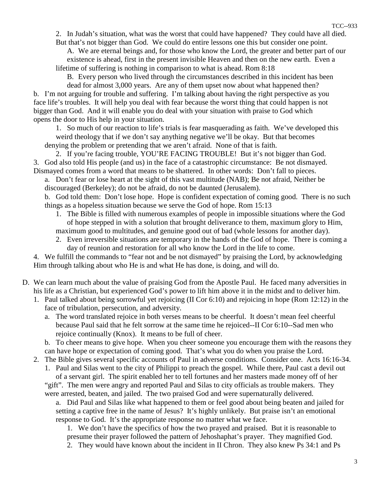2. In Judah's situation, what was the worst that could have happened? They could have all died. But that's not bigger than God. We could do entire lessons one this but consider one point.

 A. We are eternal beings and, for those who know the Lord, the greater and better part of our existence is ahead, first in the present invisible Heaven and then on the new earth. Even a lifetime of suffering is nothing in comparison to what is ahead. Rom 8:18

B. Every person who lived through the circumstances described in this incident has been

 dead for almost 3,000 years. Are any of them upset now about what happened then? b. I'm not arguing for trouble and suffering. I'm talking about having the right perspective as you face life's troubles. It will help you deal with fear because the worst thing that could happen is not bigger than God. And it will enable you do deal with your situation with praise to God which opens the door to His help in your situation.

 1. So much of our reaction to life's trials is fear masquerading as faith. We've developed this weird theology that if we don't say anything negative we'll be okay. But that becomes denying the problem or pretending that we aren't afraid. None of that is faith.

 2. If you're facing trouble, YOU'RE FACING TROUBLE! But it's not bigger than God. 3. God also told His people (and us) in the face of a catastrophic circumstance: Be not dismayed. Dismayed comes from a word that means to be shattered. In other words: Don't fall to pieces.

 a. Don't fear or lose heart at the sight of this vast multitude (NAB); Be not afraid, Neither be discouraged (Berkeley); do not be afraid, do not be daunted (Jerusalem).

 b. God told them: Don't lose hope. Hope is confident expectation of coming good. There is no such things as a hopeless situation because we serve the God of hope. Rom 15:13

- 1. The Bible is filled with numerous examples of people in impossible situations where the God of hope stepped in with a solution that brought deliverance to them, maximum glory to Him, maximum good to multitudes, and genuine good out of bad (whole lessons for another day).
- 2. Even irreversible situations are temporary in the hands of the God of hope. There is coming a day of reunion and restoration for all who know the Lord in the life to come.

 4. We fulfill the commands to "fear not and be not dismayed" by praising the Lord, by acknowledging Him through talking about who He is and what He has done, is doing, and will do.

- D. We can learn much about the value of praising God from the Apostle Paul. He faced many adversities in his life as a Christian, but experienced God's power to lift him above it in the midst and to deliver him.
	- 1. Paul talked about being sorrowful yet rejoicing (II Cor 6:10) and rejoicing in hope (Rom 12:12) in the face of tribulation, persecution, and adversity.
		- a. The word translated rejoice in both verses means to be cheerful. It doesn't mean feel cheerful because Paul said that he felt sorrow at the same time he rejoiced--II Cor 6:10--Sad men who rejoice continually (Knox). It means to be full of cheer.
		- b. To cheer means to give hope. When you cheer someone you encourage them with the reasons they can have hope or expectation of coming good. That's what you do when you praise the Lord.
	- 2. The Bible gives several specific accounts of Paul in adverse conditions. Consider one. Acts 16:16-34. 1. Paul and Silas went to the city of Philippi to preach the gospel. While there, Paul cast a devil out

 of a servant girl. The spirit enabled her to tell fortunes and her masters made money off of her "gift". The men were angry and reported Paul and Silas to city officials as trouble makers. They were arrested, beaten, and jailed. The two praised God and were supernaturally delivered.

 a. Did Paul and Silas like what happened to them or feel good about being beaten and jailed for setting a captive free in the name of Jesus? It's highly unlikely. But praise isn't an emotional response to God. It's the appropriate response no matter what we face.

 1. We don't have the specifics of how the two prayed and praised. But it is reasonable to presume their prayer followed the pattern of Jehoshaphat's prayer. They magnified God.

2. They would have known about the incident in II Chron. They also knew Ps 34:1 and Ps